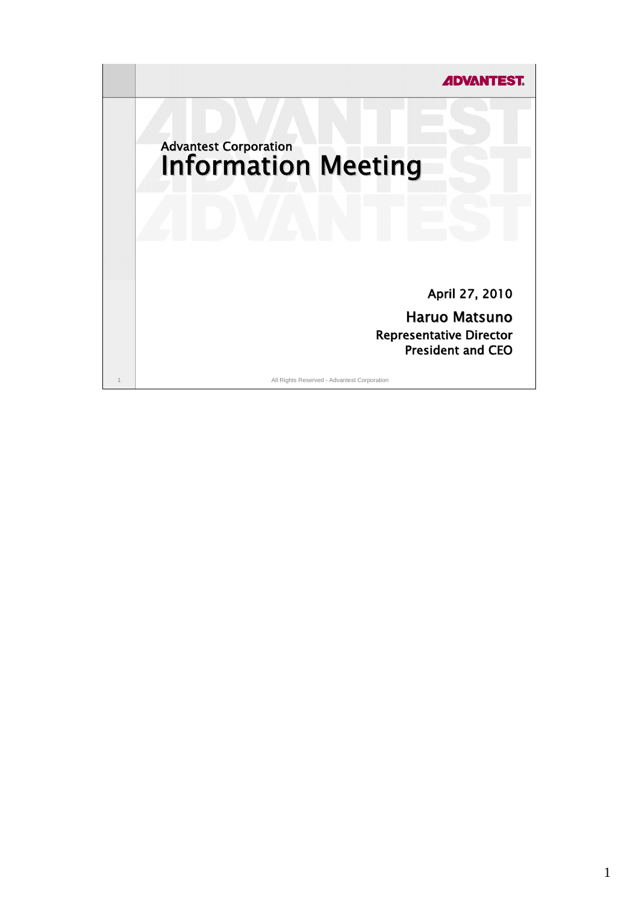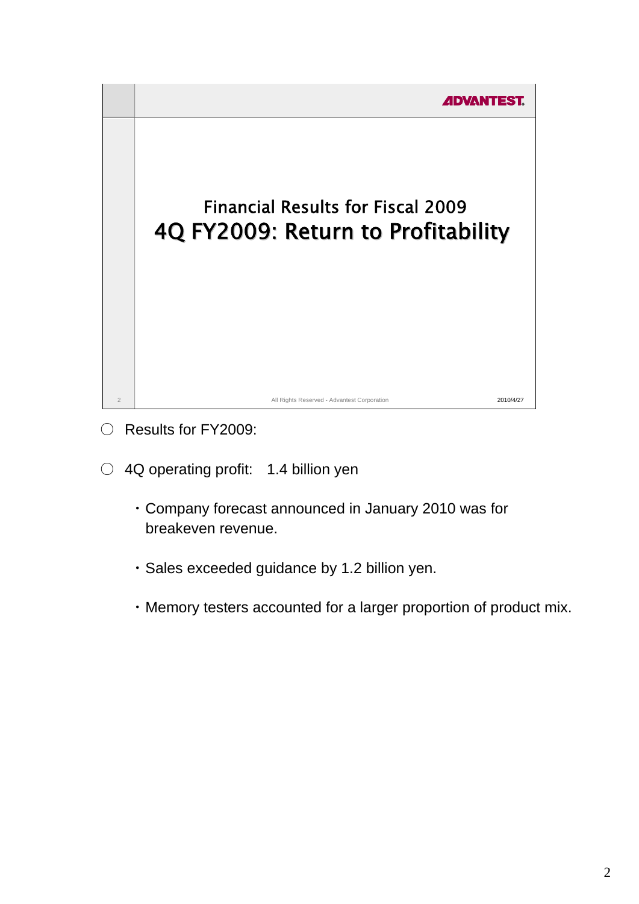

- Results for FY2009:
- 4Q operating profit: 1.4 billion yen
	- ・ Company forecast announced in January 2010 was for breakeven revenue.
	- ・ Sales exceeded guidance by 1.2 billion yen.
	- ・ Memory testers accounted for a larger proportion of product mix.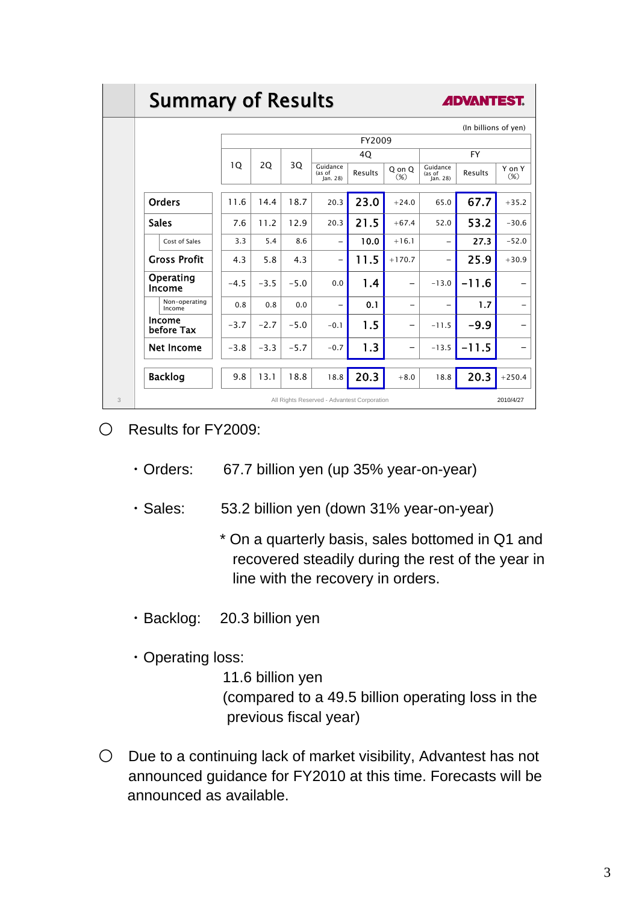## **Summary of Results**



| (In billions of yen)                        |        |        |        |                                |         |                  |                                |         |                          |  |
|---------------------------------------------|--------|--------|--------|--------------------------------|---------|------------------|--------------------------------|---------|--------------------------|--|
|                                             |        | FY2009 |        |                                |         |                  |                                |         |                          |  |
|                                             |        | 2Q     | 3Q     | 4Q                             |         |                  | <b>FY</b>                      |         |                          |  |
|                                             | 1Q     |        |        | Guidance<br>(as of<br>lan. 28) | Results | Q on Q<br>$(\%)$ | Guidance<br>(as of<br>Jan. 28) | Results | Y on Y<br>$(\%)$         |  |
| <b>Orders</b>                               | 11.6   | 14.4   | 18.7   | 20.3                           | 23.0    | $+24.0$          | 65.0                           | 67.7    | $+35.2$                  |  |
| <b>Sales</b>                                | 7.6    | 11.2   | 12.9   | 20.3                           | 21.5    | $+67.4$          | 52.0                           | 53.2    | $-30.6$                  |  |
| Cost of Sales                               | 3.3    | 5.4    | 8.6    | $\overline{\phantom{0}}$       | 10.0    | $+16.1$          | $\overline{\phantom{0}}$       | 27.3    | $-52.0$                  |  |
| <b>Gross Profit</b>                         | 4.3    | 5.8    | 4.3    | $\overline{\phantom{0}}$       | 11.5    | $+170.7$         | $\qquad \qquad -$              | 25.9    | $+30.9$                  |  |
| Operating<br>Income                         | $-4.5$ | $-3.5$ | $-5.0$ | 0.0                            | 1.4     |                  | $-13.0$                        | $-11.6$ | -                        |  |
| Non-operating<br>Income                     | 0.8    | 0.8    | 0.0    | $\overline{\phantom{0}}$       | 0.1     |                  | -                              | 1.7     | $\overline{\phantom{0}}$ |  |
| Income<br>before Tax                        | $-3.7$ | $-2.7$ | $-5.0$ | $-0.1$                         | 1.5     |                  | $-11.5$                        | $-9.9$  | $\overline{\phantom{0}}$ |  |
| <b>Net Income</b>                           | $-3.8$ | $-3.3$ | $-5.7$ | $-0.7$                         | 1.3     |                  | $-13.5$                        | $-11.5$ | -                        |  |
| <b>Backlog</b>                              | 9.8    | 13.1   | 18.8   | 18.8                           | 20.3    | $+8.0$           | 18.8                           | 20.3    | $+250.4$                 |  |
| All Rights Reserved - Advantest Corporation |        |        |        |                                |         |                  |                                |         | 2010/4/27                |  |

- Results for FY2009:
	- ・Orders: 67.7 billion yen (up 35% year-on-year)

・Sales: 53.2 billion yen (down 31% year-on-year)

\* On a quarterly basis, sales bottomed in Q1 and recovered steadily during the rest of the year in line with the recovery in orders.

- ・Backlog: 20.3 billion yen
- ・Operating loss:

11.6 billion yen (compared to a 49.5 billion operating loss in the previous fiscal year)

 $\bigcirc$  Due to a continuing lack of market visibility, Advantest has not announced guidance for FY2010 at this time. Forecasts will be announced as available.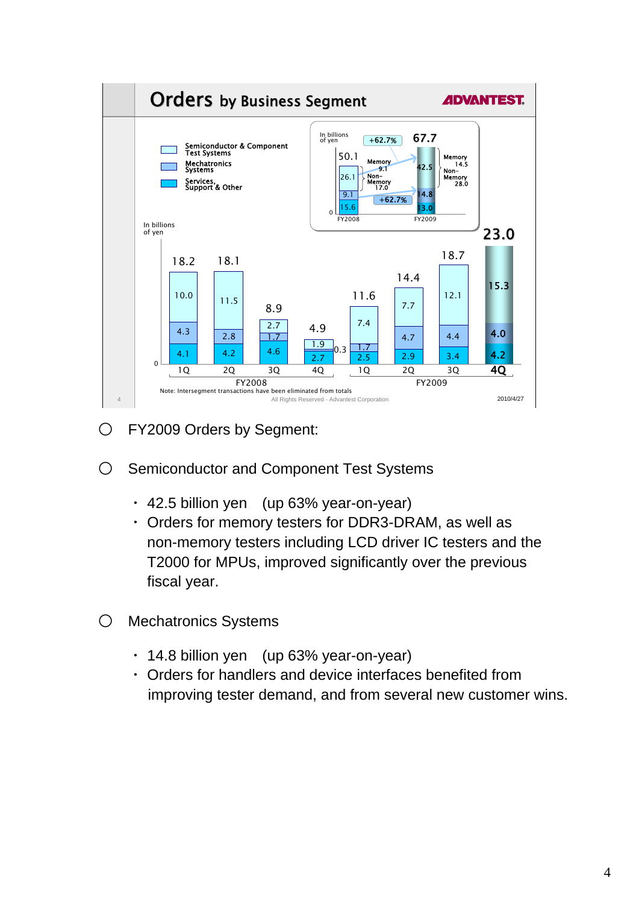

- O FY2009 Orders by Segment:
- Semiconductor and Component Test Systems
	- ・ 42.5 billion yen (up 63% year-on-year)
	- ・ Orders for memory testers for DDR3-DRAM, as well as non-memory testers including LCD driver IC testers and the T2000 for MPUs, improved significantly over the previous fiscal year.
- Mechatronics Systems
	- ・ 14.8 billion yen (up 63% year-on-year)
	- ・ Orders for handlers and device interfaces benefited from improving tester demand, and from several new customer wins.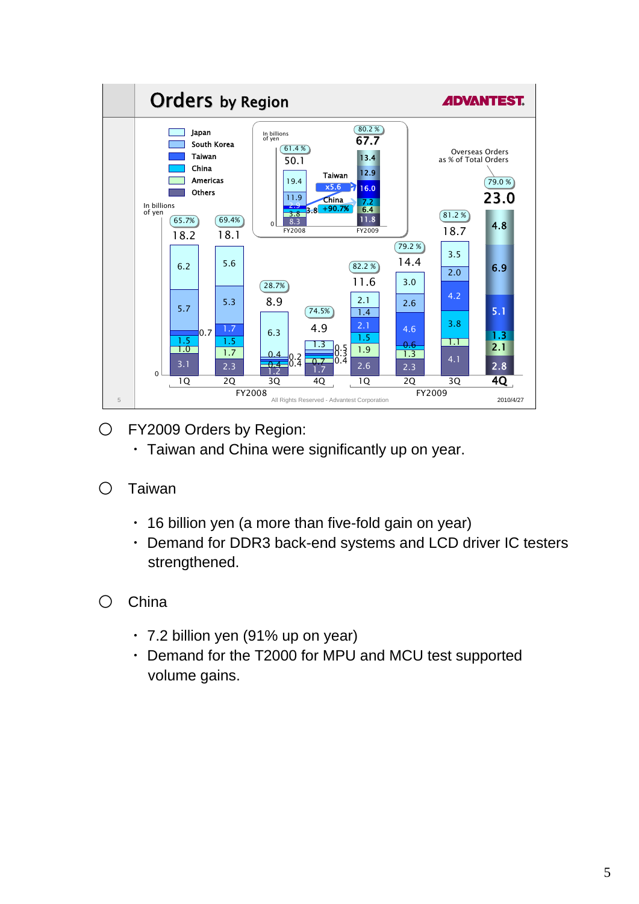

O FY2009 Orders by Region:

- ・ Taiwan and China were significantly up on year.
- Taiwan
	- ・ 16 billion yen (a more than five-fold gain on year)
	- ・ Demand for DDR3 back-end systems and LCD driver IC testers strengthened.
- China
	- ・ 7.2 billion yen (91% up on year)
	- ・ Demand for the T2000 for MPU and MCU test supported volume gains.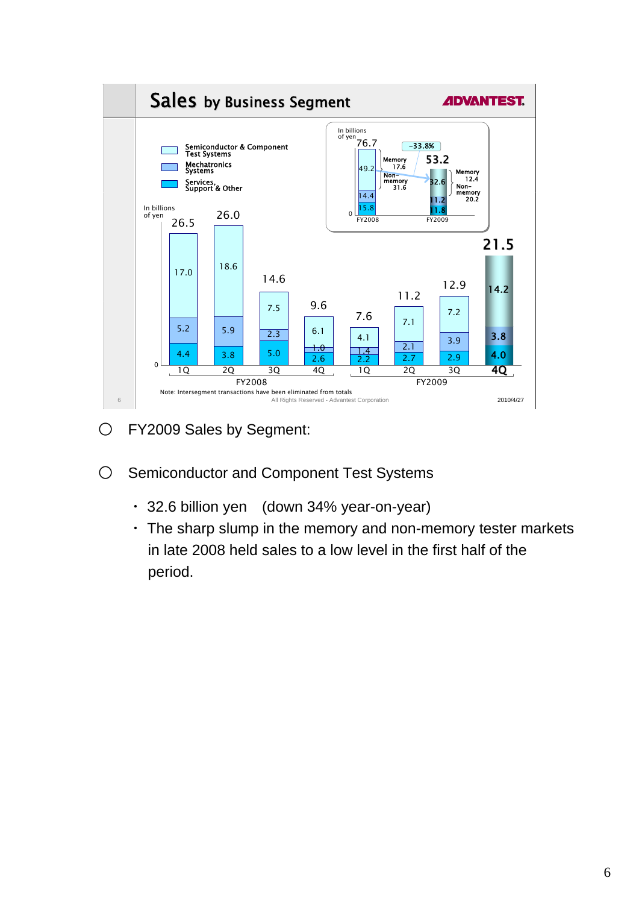

- O FY2009 Sales by Segment:
- O Semiconductor and Component Test Systems
	- ・ 32.6 billion yen (down 34% year-on-year)
	- ・ The sharp slump in the memory and non-memory tester markets in late 2008 held sales to a low level in the first half of the period.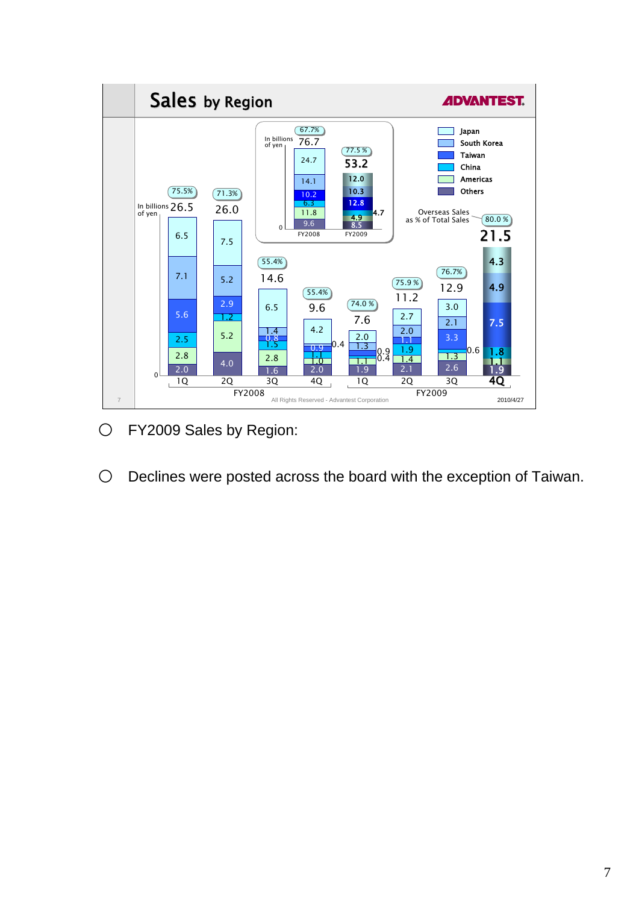

O FY2009 Sales by Region:

O Declines were posted across the board with the exception of Taiwan.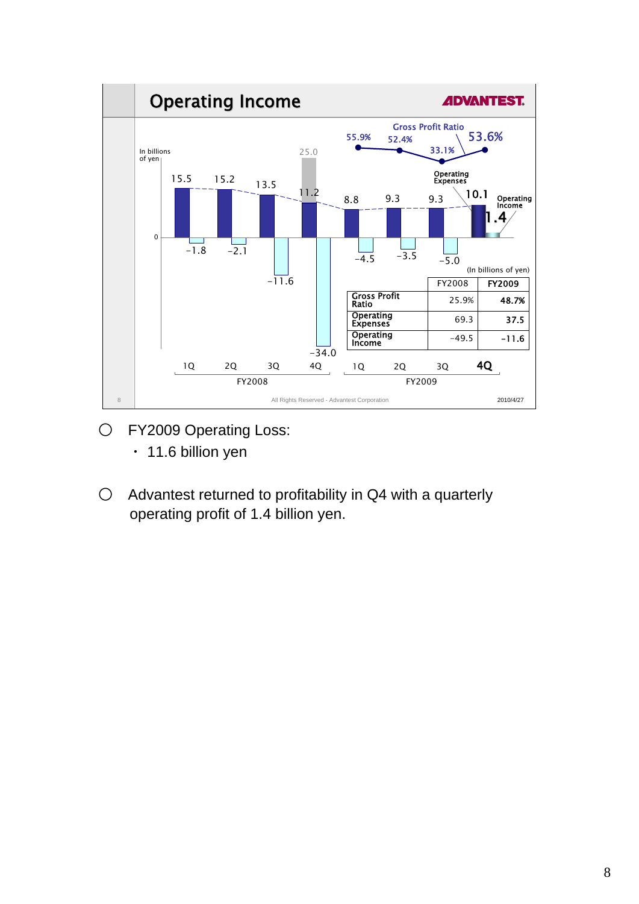

- O FY2009 Operating Loss:
	- ・ 11.6 billion yen
- Advantest returned to profitability in Q4 with a quarterly operating profit of 1.4 billion yen.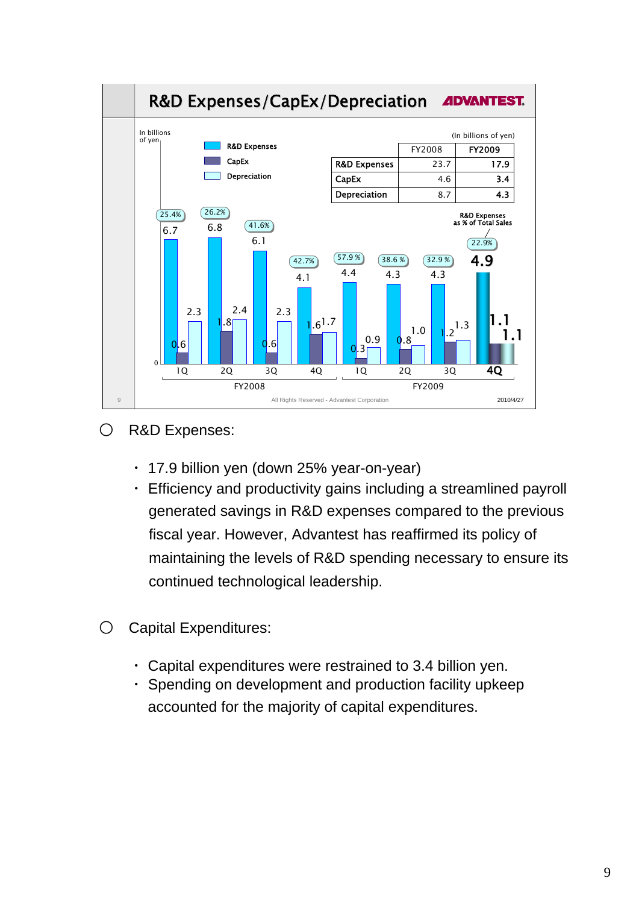

- R&D Expenses:
	- ・ 17.9 billion yen (down 25% year-on-year)
	- ・ Efficiency and productivity gains including a streamlined payroll generated savings in R&D expenses compared to the previous fiscal year. However, Advantest has reaffirmed its policy of maintaining the levels of R&D spending necessary to ensure its continued technological leadership.
- Capital Expenditures:
	- ・ Capital expenditures were restrained to 3.4 billion yen.
	- ・ Spending on development and production facility upkeep accounted for the majority of capital expenditures.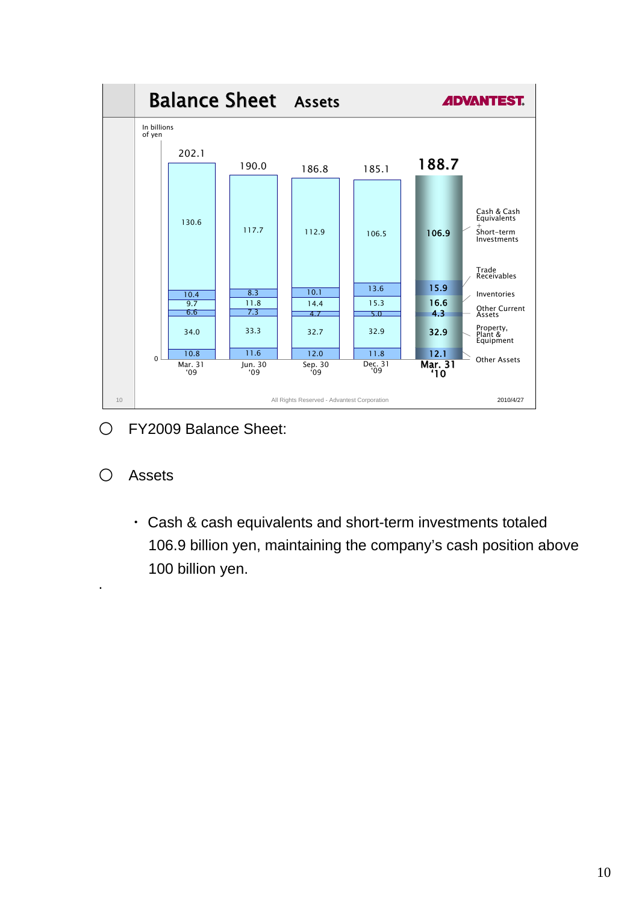

- FY2009 Balance Sheet:
- Assets
	- ・ Cash & cash equivalents and short-term investments totaled 106.9 billion yen, maintaining the company's cash position above 100 billion yen.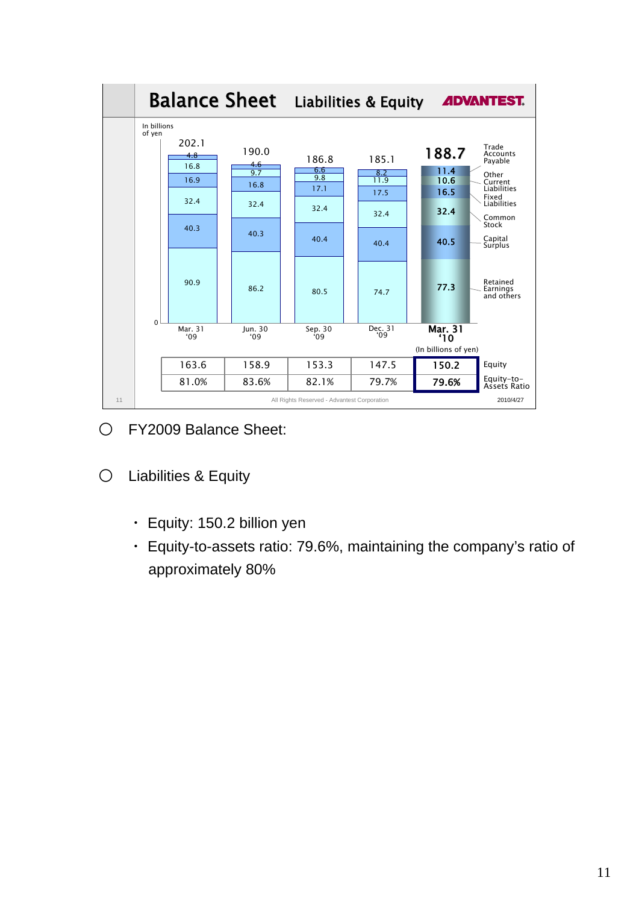

- FY2009 Balance Sheet:
- Liabilities & Equity
	- ・ Equity: 150.2 billion yen
	- ・ Equity-to-assets ratio: 79.6%, maintaining the company's ratio of approximately 80%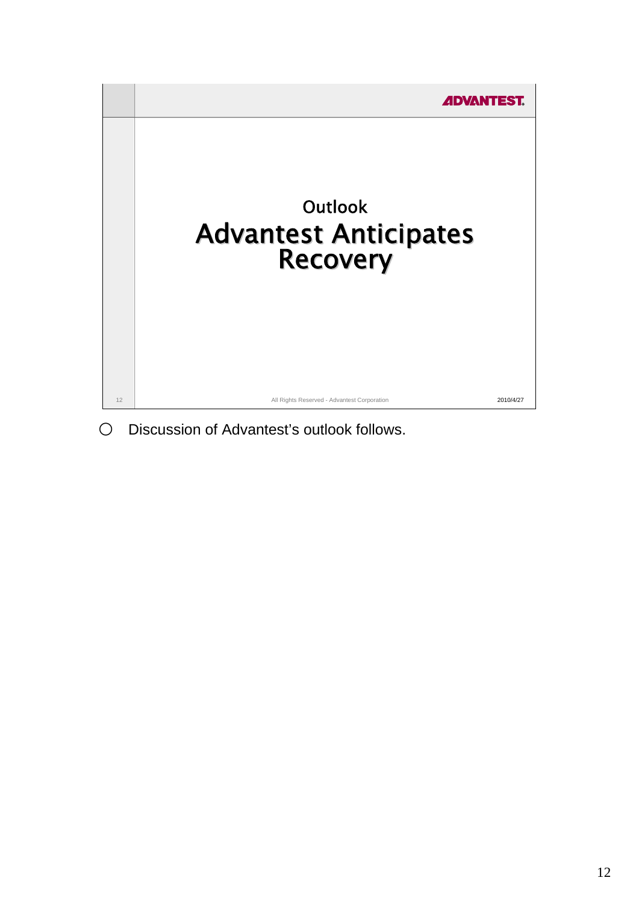

O Discussion of Advantest's outlook follows.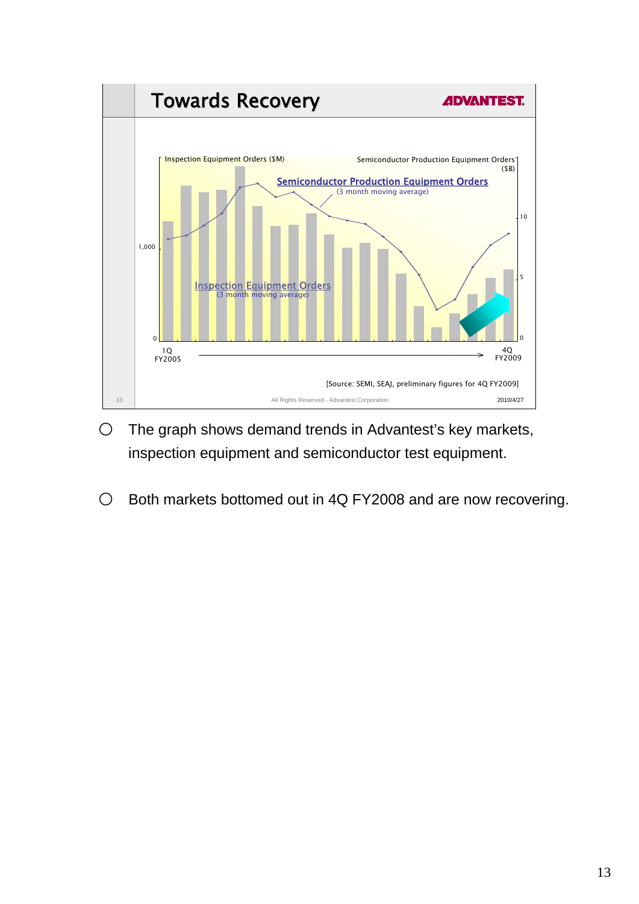

- $\bigcirc$  The graph shows demand trends in Advantest's key markets, inspection equipment and semiconductor test equipment.
- Both markets bottomed out in 4Q FY2008 and are now recovering.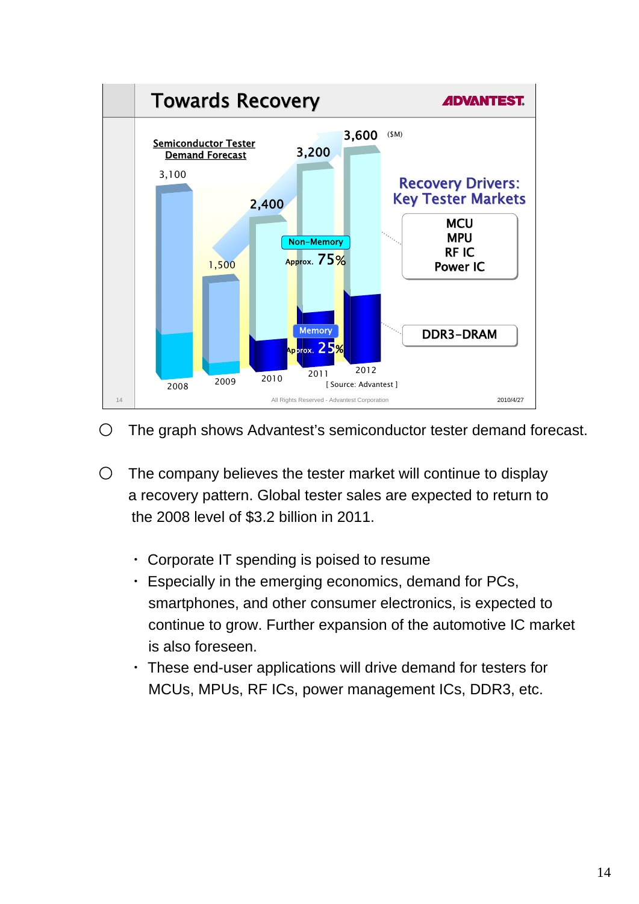

- The graph shows Advantest's semiconductor tester demand forecast.
- $\circ$  The company believes the tester market will continue to display a recovery pattern. Global tester sales are expected to return to the 2008 level of \$3.2 billion in 2011.
	- ・ Corporate IT spending is poised to resume
	- ・ Especially in the emerging economics, demand for PCs, smartphones, and other consumer electronics, is expected to continue to grow. Further expansion of the automotive IC market is also foreseen.
	- ・ These end-user applications will drive demand for testers for MCUs, MPUs, RF ICs, power management ICs, DDR3, etc.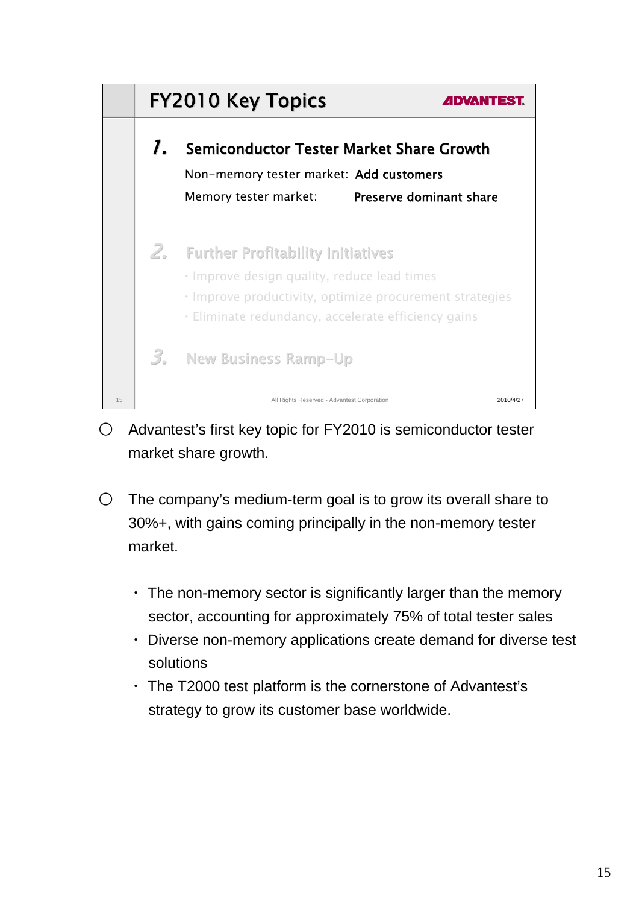

- Advantest's first key topic for FY2010 is semiconductor tester market share growth.
- $\circ$  The company's medium-term goal is to grow its overall share to 30%+, with gains coming principally in the non-memory tester market.
	- $\cdot$  The non-memory sector is significantly larger than the memory sector, accounting for approximately 75% of total tester sales
	- ・ Diverse non-memory applications create demand for diverse test solutions
	- ・ The T2000 test platform is the cornerstone of Advantest's strategy to grow its customer base worldwide.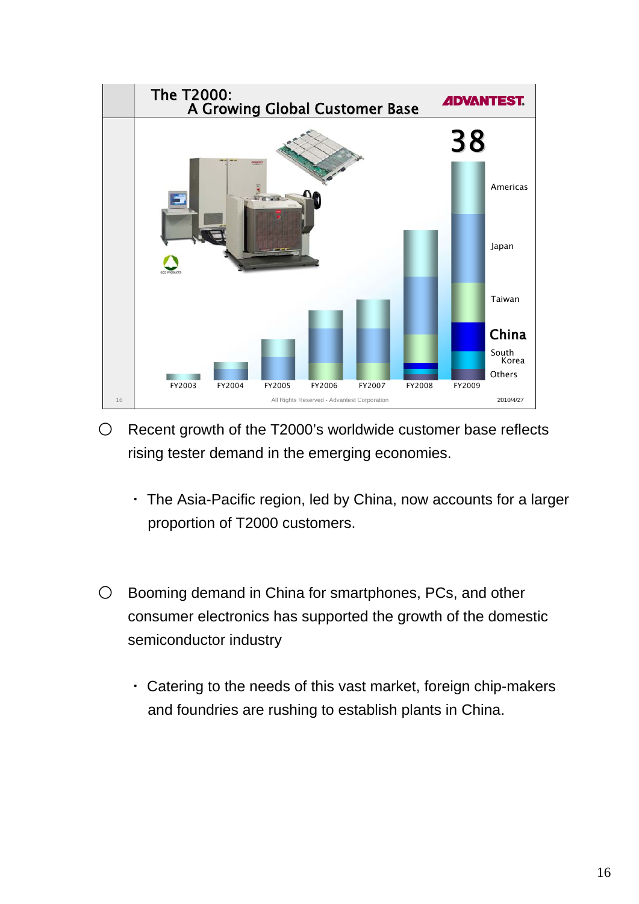

- $\circ$  Recent growth of the T2000's worldwide customer base reflects rising tester demand in the emerging economies.
	- ・ The Asia-Pacific region, led by China, now accounts for a larger proportion of T2000 customers.
- Booming demand in China for smartphones, PCs, and other consumer electronics has supported the growth of the domestic semiconductor industry
	- ・ Catering to the needs of this vast market, foreign chip-makers and foundries are rushing to establish plants in China.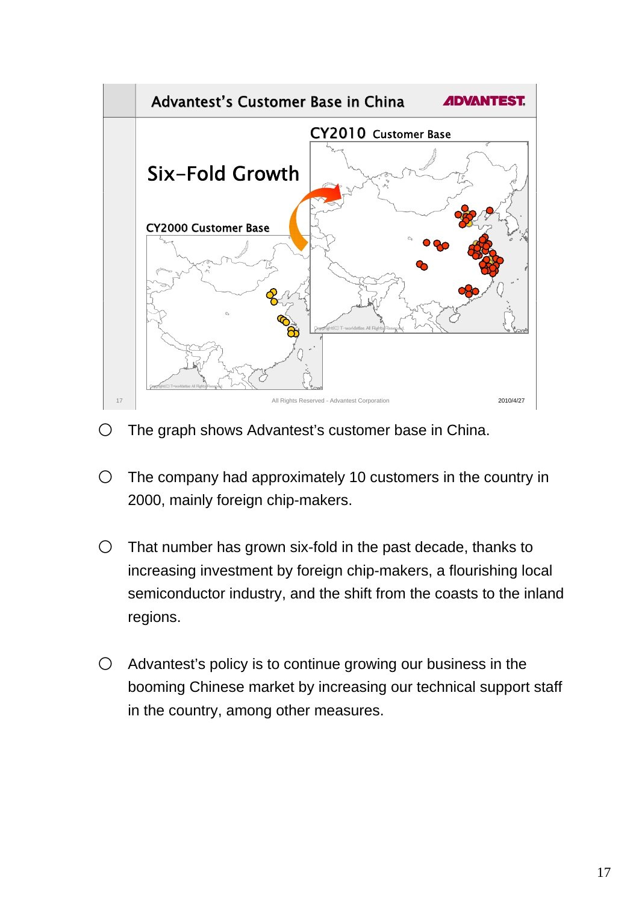

- O The graph shows Advantest's customer base in China.
- $\circ$  The company had approximately 10 customers in the country in 2000, mainly foreign chip-makers.
- $\circ$  That number has grown six-fold in the past decade, thanks to increasing investment by foreign chip-makers, a flourishing local semiconductor industry, and the shift from the coasts to the inland regions.
- $\bigcirc$  Advantest's policy is to continue growing our business in the booming Chinese market by increasing our technical support staff in the country, among other measures.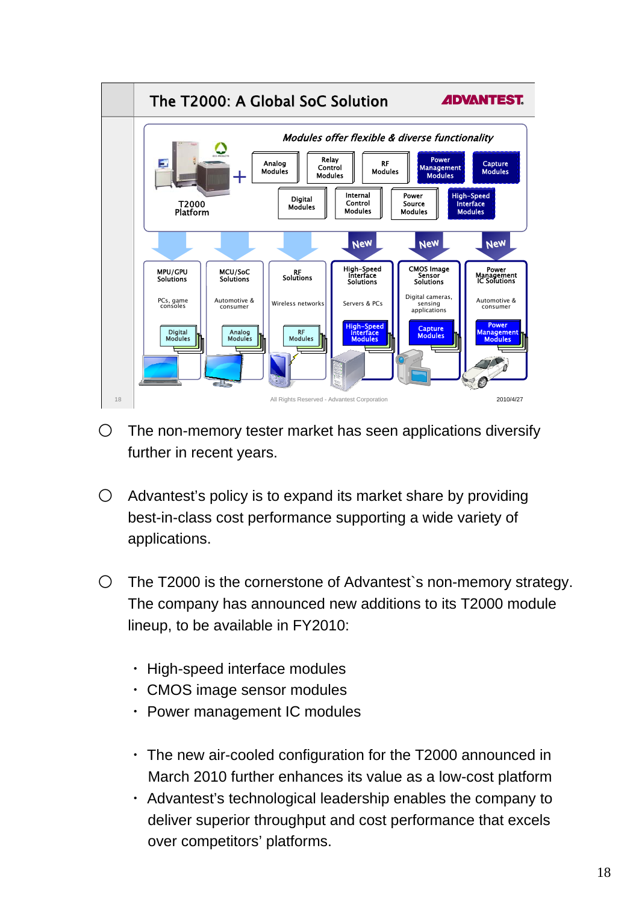

- $\circ$  The non-memory tester market has seen applications diversify further in recent years.
- $\bigcirc$  Advantest's policy is to expand its market share by providing best-in-class cost performance supporting a wide variety of applications.
- The T2000 is the cornerstone of Advantest`s non-memory strategy. The company has announced new additions to its T2000 module lineup, to be available in FY2010:
	- ・ High-speed interface modules
	- ・ CMOS image sensor modules
	- ・ Power management IC modules
	- ・ The new air-cooled configuration for the T2000 announced in March 2010 further enhances its value as a low-cost platform
	- ・ Advantest's technological leadership enables the company to deliver superior throughput and cost performance that excels over competitors' platforms.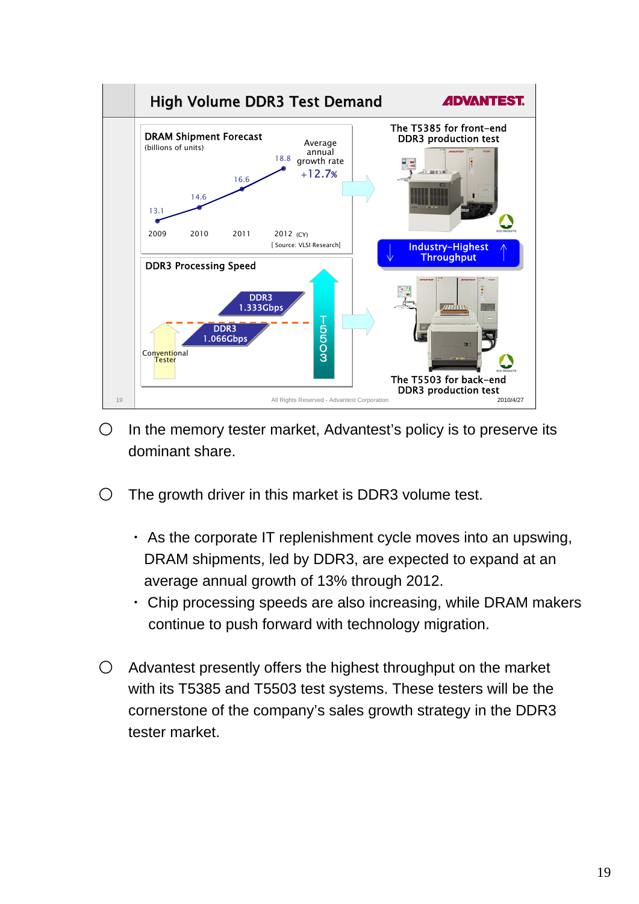

- $\circ$  In the memory tester market. Advantest's policy is to preserve its dominant share.
- $\circ$  The growth driver in this market is DDR3 volume test.
	- $\cdot$  As the corporate IT replenishment cycle moves into an upswing, DRAM shipments, led by DDR3, are expected to expand at an average annual growth of 13% through 2012.
	- ・ Chip processing speeds are also increasing, while DRAM makers continue to push forward with technology migration.
- Advantest presently offers the highest throughput on the market with its T5385 and T5503 test systems. These testers will be the cornerstone of the company's sales growth strategy in the DDR3 tester market.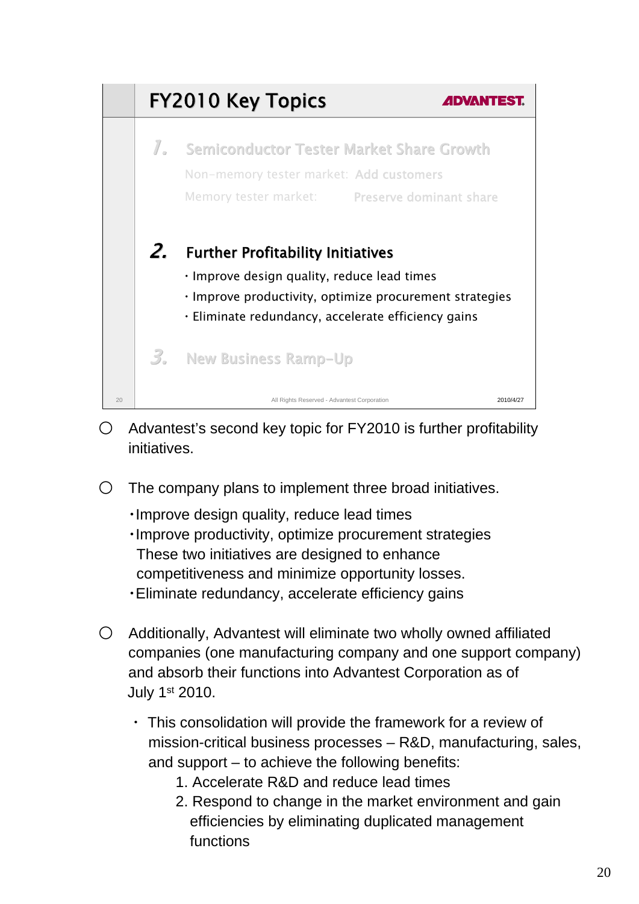

- $\bigcirc$  Advantest's second key topic for FY2010 is further profitability initiatives.
- $\circ$  The company plans to implement three broad initiatives.
	- ・Improve design quality, reduce lead times ・Improve productivity, optimize procurement strategies These two initiatives are designed to enhance competitiveness and minimize opportunity losses. ・Eliminate redundancy, accelerate efficiency gains
- Additionally, Advantest will eliminate two wholly owned affiliated companies (one manufacturing company and one support company) and absorb their functions into Advantest Corporation as of July 1st 2010.
	- ・ This consolidation will provide the framework for a review of mission-critical business processes – R&D, manufacturing, sales, and support – to achieve the following benefits:
		- 1. Accelerate R&D and reduce lead times
		- 2. Respond to change in the market environment and gain efficiencies by eliminating duplicated management functions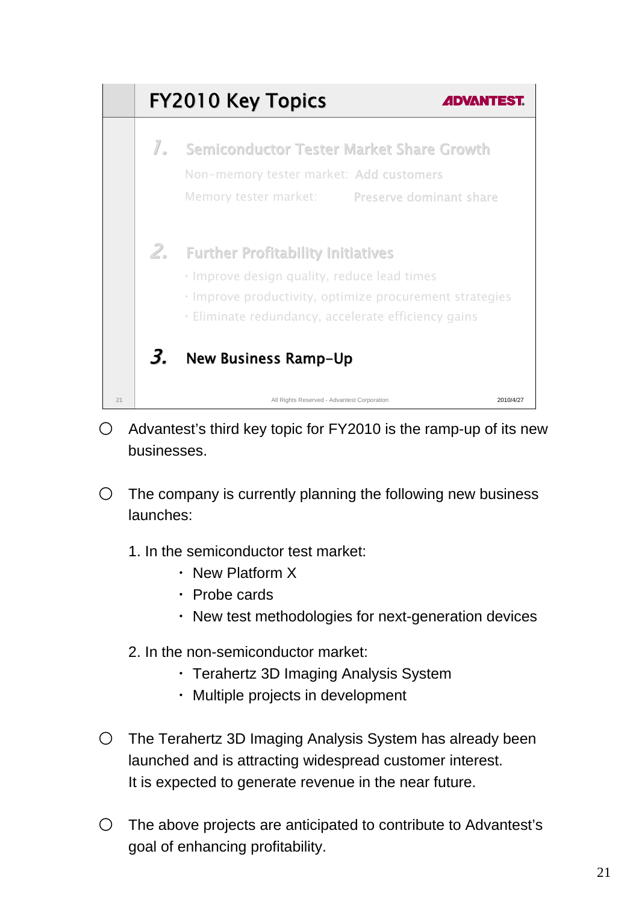

- $\degree$  Advantest's third key topic for FY2010 is the ramp-up of its new businesses.
- $\circ$  The company is currently planning the following new business launches:
	- 1. In the semiconductor test market:
		- ・ New Platform X
		- ・ Probe cards
		- ・ New test methodologies for next-generation devices
	- 2. In the non-semiconductor market:
		- ・ Terahertz 3D Imaging Analysis System
		- ・ Multiple projects in development
- $\circ$  The Terahertz 3D Imaging Analysis System has already been launched and is attracting widespread customer interest. It is expected to generate revenue in the near future.
- $\circ$  The above projects are anticipated to contribute to Advantest's goal of enhancing profitability.